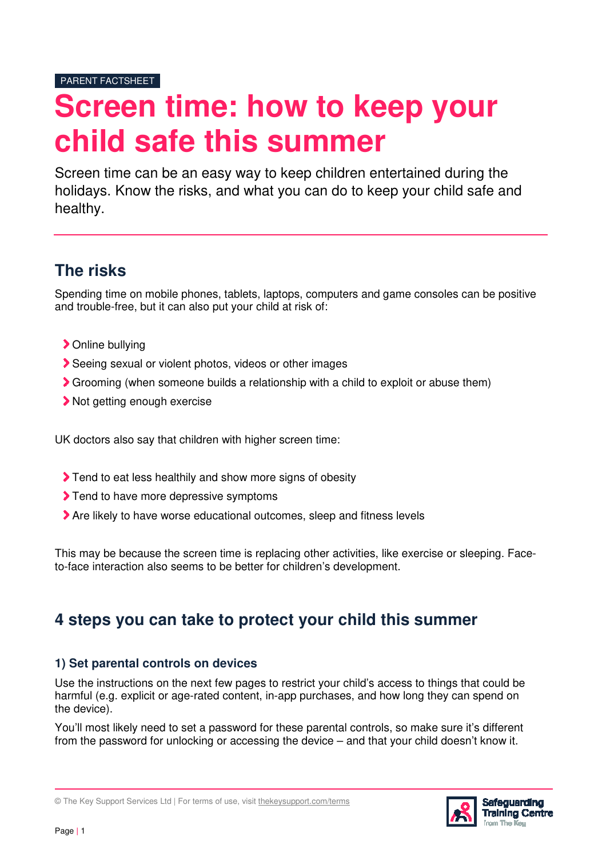# **Screen time: how to keep your child safe this summer**

Screen time can be an easy way to keep children entertained during the holidays. Know the risks, and what you can do to keep your child safe and healthy.

# **The risks**

Spending time on mobile phones, tablets, laptops, computers and game consoles can be positive and trouble-free, but it can also put your child at risk of:

- Online bullying
- Seeing sexual or violent photos, videos or other images
- Grooming (when someone builds a relationship with a child to exploit or abuse them)
- Not getting enough exercise

UK doctors also say that children with higher screen time:

- Tend to eat less healthily and show more signs of obesity
- Tend to have more depressive symptoms
- Are likely to have worse educational outcomes, sleep and fitness levels

This may be because the screen time is replacing other activities, like exercise or sleeping. Faceto-face interaction also seems to be better for children's development.

# **4 steps you can take to protect your child this summer**

#### **1) Set parental controls on devices**

Use the instructions on the next few pages to restrict your child's access to things that could be harmful (e.g. explicit or age-rated content, in-app purchases, and how long they can spend on the device).

You'll most likely need to set a password for these parental controls, so make sure it's different from the password for unlocking or accessing the device – and that your child doesn't know it.



<sup>©</sup> The Key Support Services Ltd | For terms of use, visit thekeysupport.com/terms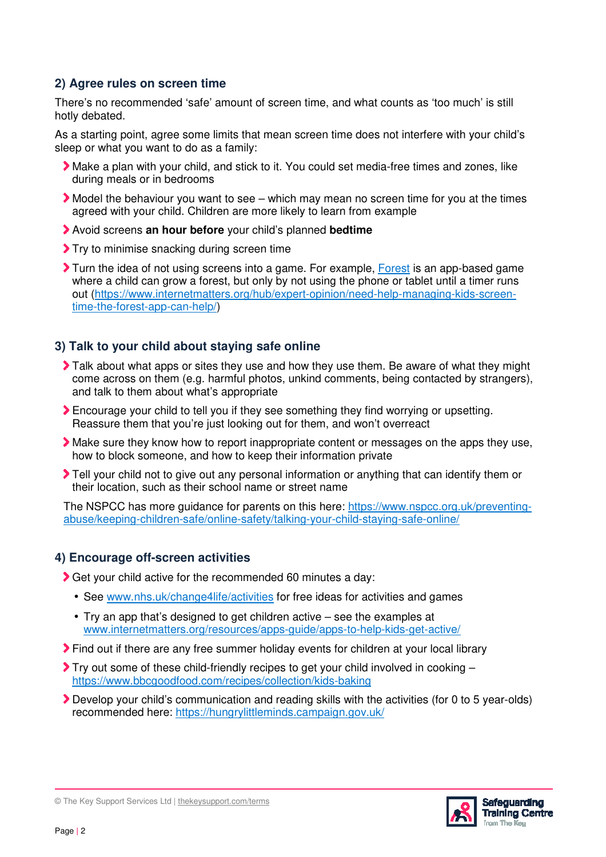## **2) Agree rules on screen time**

There's no recommended 'safe' amount of screen time, and what counts as 'too much' is still hotly debated.

As a starting point, agree some limits that mean screen time does not interfere with your child's sleep or what you want to do as a family:

- Make a plan with your child, and stick to it. You could set media-free times and zones, like during meals or in bedrooms
- Model the behaviour you want to see which may mean no screen time for you at the times agreed with your child. Children are more likely to learn from example
- Avoid screens **an hour before** your child's planned **bedtime**
- Try to minimise snacking during screen time
- Turn the idea of not using screens into a game. For example, Forest is an app-based game where a child can grow a forest, but only by not using the phone or tablet until a timer runs out (https://www.internetmatters.org/hub/expert-opinion/need-help-managing-kids-screentime-the-forest-app-can-help/)

## **3) Talk to your child about staying safe online**

- Talk about what apps or sites they use and how they use them. Be aware of what they might come across on them (e.g. harmful photos, unkind comments, being contacted by strangers), and talk to them about what's appropriate
- Encourage your child to tell you if they see something they find worrying or upsetting. Reassure them that you're just looking out for them, and won't overreact
- Make sure they know how to report inappropriate content or messages on the apps they use, how to block someone, and how to keep their information private
- Tell your child not to give out any personal information or anything that can identify them or their location, such as their school name or street name

The NSPCC has more guidance for parents on this here: https://www.nspcc.org.uk/preventingabuse/keeping-children-safe/online-safety/talking-your-child-staying-safe-online/

## **4) Encourage off-screen activities**

Get your child active for the recommended 60 minutes a day:

- See www.nhs.uk/change4life/activities for free ideas for activities and games
- Try an app that's designed to get children active see the examples at www.internetmatters.org/resources/apps-guide/apps-to-help-kids-get-active/
- Find out if there are any free summer holiday events for children at your local library
- $\blacktriangleright$  Try out some of these child-friendly recipes to get your child involved in cooking  $$ https://www.bbcgoodfood.com/recipes/collection/kids-baking
- Develop your child's communication and reading skills with the activities (for 0 to 5 year-olds) recommended here: https://hungrylittleminds.campaign.gov.uk/



<sup>©</sup> The Key Support Services Ltd | thekeysupport.com/terms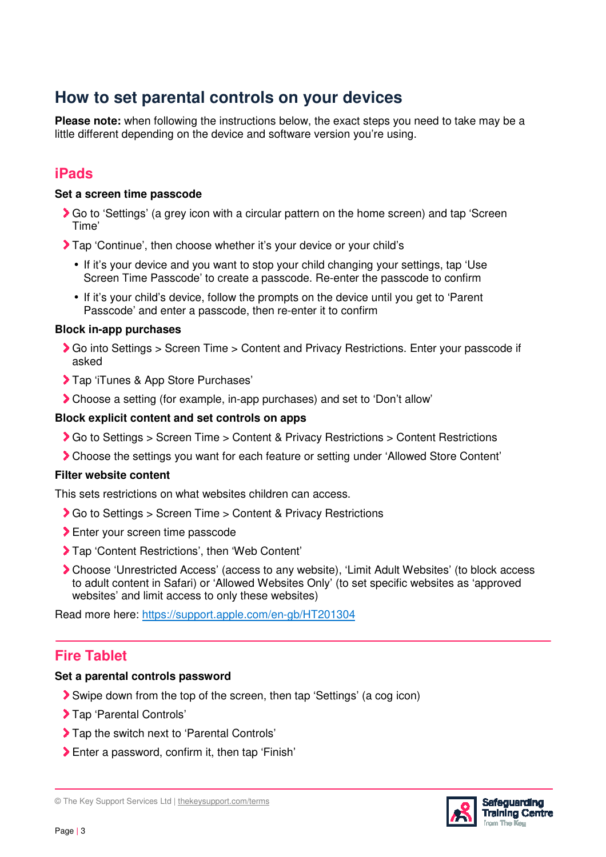# **How to set parental controls on your devices**

**Please note:** when following the instructions below, the exact steps you need to take may be a little different depending on the device and software version you're using.

## **iPads**

#### **Set a screen time passcode**

- Go to 'Settings' (a grey icon with a circular pattern on the home screen) and tap 'Screen Time'
- Tap 'Continue', then choose whether it's your device or your child's
	- If it's your device and you want to stop your child changing your settings, tap 'Use Screen Time Passcode' to create a passcode. Re-enter the passcode to confirm
	- If it's your child's device, follow the prompts on the device until you get to 'Parent Passcode' and enter a passcode, then re-enter it to confirm

#### **Block in-app purchases**

- Go into Settings > Screen Time > Content and Privacy Restrictions. Enter your passcode if asked
- > Tap 'iTunes & App Store Purchases'
- Choose a setting (for example, in-app purchases) and set to 'Don't allow'

#### **Block explicit content and set controls on apps**

- Go to Settings > Screen Time > Content & Privacy Restrictions > Content Restrictions
- Choose the settings you want for each feature or setting under 'Allowed Store Content'

#### **Filter website content**

This sets restrictions on what websites children can access.

- ◆ Go to Settings > Screen Time > Content & Privacy Restrictions
- > Enter your screen time passcode
- Tap 'Content Restrictions', then 'Web Content'
- Choose 'Unrestricted Access' (access to any website), 'Limit Adult Websites' (to block access to adult content in Safari) or 'Allowed Websites Only' (to set specific websites as 'approved websites' and limit access to only these websites)

Read more here: https://support.apple.com/en-gb/HT201304

## **Fire Tablet**

#### **Set a parental controls password**

- Swipe down from the top of the screen, then tap 'Settings' (a cog icon)
- > Tap 'Parental Controls'
- > Tap the switch next to 'Parental Controls'
- Enter a password, confirm it, then tap 'Finish'

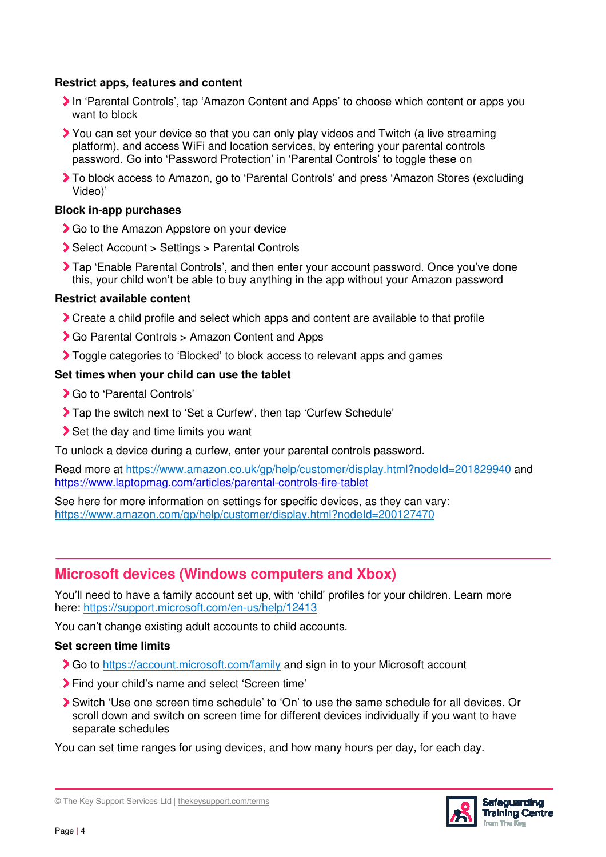#### **Restrict apps, features and content**

- In 'Parental Controls', tap 'Amazon Content and Apps' to choose which content or apps you want to block
- You can set your device so that you can only play videos and Twitch (a live streaming platform), and access WiFi and location services, by entering your parental controls password. Go into 'Password Protection' in 'Parental Controls' to toggle these on
- To block access to Amazon, go to 'Parental Controls' and press 'Amazon Stores (excluding Video)'

#### **Block in-app purchases**

- Go to the Amazon Appstore on your device
- ▶ Select Account > Settings > Parental Controls
- Tap 'Enable Parental Controls', and then enter your account password. Once you've done this, your child won't be able to buy anything in the app without your Amazon password

#### **Restrict available content**

- Create a child profile and select which apps and content are available to that profile
- Go Parental Controls > Amazon Content and Apps
- Toggle categories to 'Blocked' to block access to relevant apps and games

#### **Set times when your child can use the tablet**

- Go to 'Parental Controls'
- Tap the switch next to 'Set a Curfew', then tap 'Curfew Schedule'
- Set the day and time limits you want

To unlock a device during a curfew, enter your parental controls password.

Read more at https://www.amazon.co.uk/gp/help/customer/display.html?nodeId=201829940 and https://www.laptopmag.com/articles/parental-controls-fire-tablet

See here for more information on settings for specific devices, as they can vary: https://www.amazon.com/gp/help/customer/display.html?nodeId=200127470

## **Microsoft devices (Windows computers and Xbox)**

You'll need to have a family account set up, with 'child' profiles for your children. Learn more here: https://support.microsoft.com/en-us/help/12413

You can't change existing adult accounts to child accounts.

#### **Set screen time limits**

- Go to https://account.microsoft.com/family and sign in to your Microsoft account
- Find your child's name and select 'Screen time'
- Switch 'Use one screen time schedule' to 'On' to use the same schedule for all devices. Or scroll down and switch on screen time for different devices individually if you want to have separate schedules

You can set time ranges for using devices, and how many hours per day, for each day.

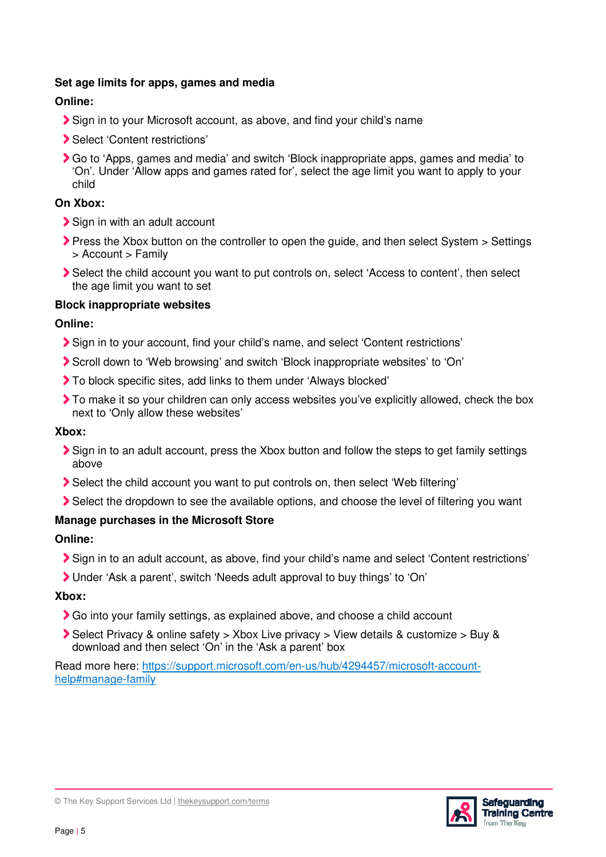### **Set age limits for apps, games and media**

## **Online:**

- Sign in to your Microsoft account, as above, and find your child's name
- Select 'Content restrictions'
- Go to 'Apps, games and media' and switch 'Block inappropriate apps, games and media' to 'On'. Under 'Allow apps and games rated for', select the age limit you want to apply to your child

## **On Xbox:**

- Sign in with an adult account
- Press the Xbox button on the controller to open the guide, and then select System > Settings > Account > Family
- Select the child account you want to put controls on, select 'Access to content', then select the age limit you want to set

## **Block inappropriate websites**

## **Online:**

- Sign in to your account, find your child's name, and select 'Content restrictions'
- Scroll down to 'Web browsing' and switch 'Block inappropriate websites' to 'On'
- To block specific sites, add links to them under 'Always blocked'
- To make it so your children can only access websites you've explicitly allowed, check the box next to 'Only allow these websites'

## **Xbox:**

- Sign in to an adult account, press the Xbox button and follow the steps to get family settings above
- Select the child account you want to put controls on, then select 'Web filtering'
- Select the dropdown to see the available options, and choose the level of filtering you want

## **Manage purchases in the Microsoft Store**

## **Online:**

- Sign in to an adult account, as above, find your child's name and select 'Content restrictions'
- Under 'Ask a parent', switch 'Needs adult approval to buy things' to 'On'

## **Xbox:**

- Go into your family settings, as explained above, and choose a child account
- Select Privacy & online safety > Xbox Live privacy > View details & customize > Buy & download and then select 'On' in the 'Ask a parent' box

Read more here: https://support.microsoft.com/en-us/hub/4294457/microsoft-accounthelp#manage-family



© The Key Support Services Ltd | thekeysupport.com/terms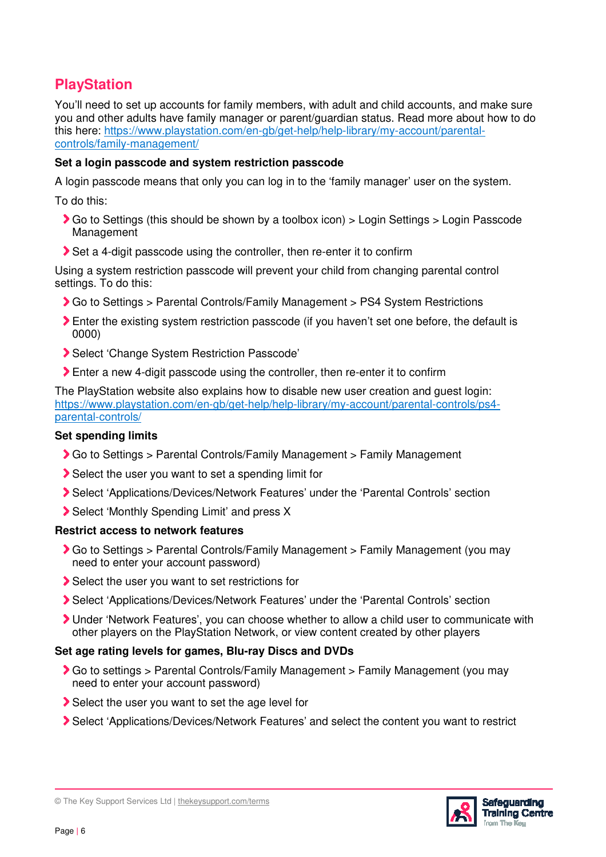## **PlayStation**

You'll need to set up accounts for family members, with adult and child accounts, and make sure you and other adults have family manager or parent/guardian status. Read more about how to do this here: https://www.playstation.com/en-gb/get-help/help-library/my-account/parentalcontrols/family-management/

### **Set a login passcode and system restriction passcode**

A login passcode means that only you can log in to the 'family manager' user on the system.

To do this:

- Go to Settings (this should be shown by a toolbox icon) > Login Settings > Login Passcode Management
- Set a 4-digit passcode using the controller, then re-enter it to confirm

Using a system restriction passcode will prevent your child from changing parental control settings. To do this:

- Go to Settings > Parental Controls/Family Management > PS4 System Restrictions
- Enter the existing system restriction passcode (if you haven't set one before, the default is 0000)
- Select 'Change System Restriction Passcode'
- Enter a new 4-digit passcode using the controller, then re-enter it to confirm

The PlayStation website also explains how to disable new user creation and guest login: https://www.playstation.com/en-gb/get-help/help-library/my-account/parental-controls/ps4 parental-controls/

## **Set spending limits**

- Go to Settings > Parental Controls/Family Management > Family Management
- Select the user you want to set a spending limit for
- Select 'Applications/Devices/Network Features' under the 'Parental Controls' section
- Select 'Monthly Spending Limit' and press X

## **Restrict access to network features**

- Go to Settings > Parental Controls/Family Management > Family Management (you may need to enter your account password)
- Select the user you want to set restrictions for
- Select 'Applications/Devices/Network Features' under the 'Parental Controls' section
- Under 'Network Features', you can choose whether to allow a child user to communicate with other players on the PlayStation Network, or view content created by other players

## **Set age rating levels for games, Blu-ray Discs and DVDs**

- Go to settings > Parental Controls/Family Management > Family Management (you may need to enter your account password)
- Select the user you want to set the age level for
- Select 'Applications/Devices/Network Features' and select the content you want to restrict



<sup>©</sup> The Key Support Services Ltd | thekeysupport.com/terms